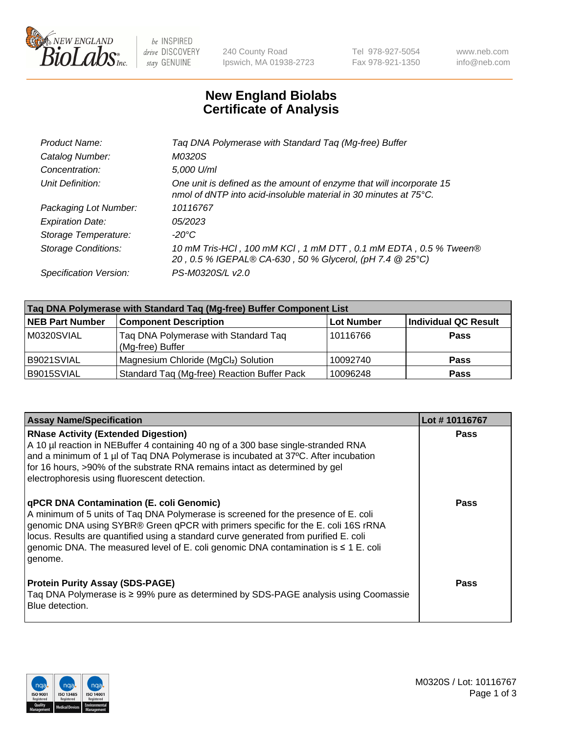

 $be$  INSPIRED drive DISCOVERY stay GENUINE

240 County Road Ipswich, MA 01938-2723 Tel 978-927-5054 Fax 978-921-1350 www.neb.com info@neb.com

## **New England Biolabs Certificate of Analysis**

| Taq DNA Polymerase with Standard Taq (Mg-free) Buffer                                                                                    |
|------------------------------------------------------------------------------------------------------------------------------------------|
| M0320S                                                                                                                                   |
| 5,000 U/ml                                                                                                                               |
| One unit is defined as the amount of enzyme that will incorporate 15<br>nmol of dNTP into acid-insoluble material in 30 minutes at 75°C. |
| 10116767                                                                                                                                 |
| 05/2023                                                                                                                                  |
| $-20^{\circ}$ C                                                                                                                          |
| 10 mM Tris-HCI, 100 mM KCI, 1 mM DTT, 0.1 mM EDTA, 0.5 % Tween®<br>20, 0.5 % IGEPAL® CA-630, 50 % Glycerol, (pH 7.4 @ 25°C)              |
| PS-M0320S/L v2.0                                                                                                                         |
|                                                                                                                                          |

| Taq DNA Polymerase with Standard Taq (Mg-free) Buffer Component List |                                                          |                   |                             |  |  |
|----------------------------------------------------------------------|----------------------------------------------------------|-------------------|-----------------------------|--|--|
| <b>NEB Part Number</b>                                               | <b>Component Description</b>                             | <b>Lot Number</b> | <b>Individual QC Result</b> |  |  |
| M0320SVIAL                                                           | Tag DNA Polymerase with Standard Tag<br>(Mg-free) Buffer | 10116766          | <b>Pass</b>                 |  |  |
| B9021SVIAL                                                           | Magnesium Chloride (MgCl2) Solution                      | 10092740          | Pass                        |  |  |
| B9015SVIAL                                                           | Standard Taq (Mg-free) Reaction Buffer Pack              | 10096248          | <b>Pass</b>                 |  |  |

| <b>Assay Name/Specification</b>                                                                                                                                                                                                                                                                                                                                                                                      | Lot #10116767 |
|----------------------------------------------------------------------------------------------------------------------------------------------------------------------------------------------------------------------------------------------------------------------------------------------------------------------------------------------------------------------------------------------------------------------|---------------|
| <b>RNase Activity (Extended Digestion)</b><br>A 10 µl reaction in NEBuffer 4 containing 40 ng of a 300 base single-stranded RNA<br>and a minimum of 1 µl of Taq DNA Polymerase is incubated at 37°C. After incubation<br>for 16 hours, >90% of the substrate RNA remains intact as determined by gel<br>electrophoresis using fluorescent detection.                                                                 | <b>Pass</b>   |
| <b>qPCR DNA Contamination (E. coli Genomic)</b><br>A minimum of 5 units of Taq DNA Polymerase is screened for the presence of E. coli<br>genomic DNA using SYBR® Green qPCR with primers specific for the E. coli 16S rRNA<br>locus. Results are quantified using a standard curve generated from purified E. coli<br>genomic DNA. The measured level of E. coli genomic DNA contamination is ≤ 1 E. coli<br>genome. | Pass          |
| <b>Protein Purity Assay (SDS-PAGE)</b><br>Taq DNA Polymerase is ≥ 99% pure as determined by SDS-PAGE analysis using Coomassie<br>Blue detection.                                                                                                                                                                                                                                                                     | Pass          |

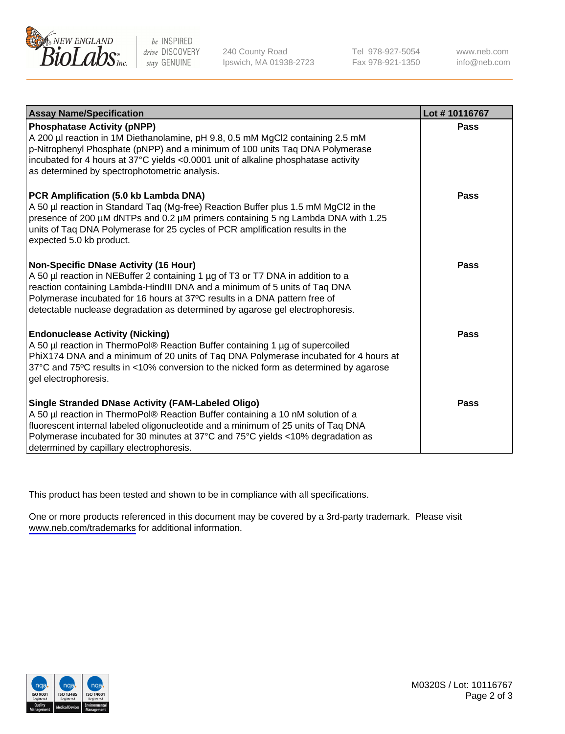

be INSPIRED drive DISCOVERY stay GENUINE

240 County Road Ipswich, MA 01938-2723 Tel 978-927-5054 Fax 978-921-1350

www.neb.com info@neb.com

| <b>Assay Name/Specification</b>                                                                                                                                                                                                                                                                                                                                       | Lot #10116767 |
|-----------------------------------------------------------------------------------------------------------------------------------------------------------------------------------------------------------------------------------------------------------------------------------------------------------------------------------------------------------------------|---------------|
| <b>Phosphatase Activity (pNPP)</b><br>A 200 µl reaction in 1M Diethanolamine, pH 9.8, 0.5 mM MgCl2 containing 2.5 mM<br>p-Nitrophenyl Phosphate (pNPP) and a minimum of 100 units Taq DNA Polymerase<br>incubated for 4 hours at 37°C yields <0.0001 unit of alkaline phosphatase activity<br>as determined by spectrophotometric analysis.                           | <b>Pass</b>   |
| PCR Amplification (5.0 kb Lambda DNA)<br>A 50 µl reaction in Standard Tag (Mg-free) Reaction Buffer plus 1.5 mM MgCl2 in the<br>presence of 200 µM dNTPs and 0.2 µM primers containing 5 ng Lambda DNA with 1.25<br>units of Taq DNA Polymerase for 25 cycles of PCR amplification results in the<br>expected 5.0 kb product.                                         | Pass          |
| Non-Specific DNase Activity (16 Hour)<br>A 50 µl reaction in NEBuffer 2 containing 1 µg of T3 or T7 DNA in addition to a<br>reaction containing Lambda-HindIII DNA and a minimum of 5 units of Taq DNA<br>Polymerase incubated for 16 hours at 37°C results in a DNA pattern free of<br>detectable nuclease degradation as determined by agarose gel electrophoresis. | Pass          |
| <b>Endonuclease Activity (Nicking)</b><br>A 50 µl reaction in ThermoPol® Reaction Buffer containing 1 µg of supercoiled<br>PhiX174 DNA and a minimum of 20 units of Taq DNA Polymerase incubated for 4 hours at<br>37°C and 75°C results in <10% conversion to the nicked form as determined by agarose<br>gel electrophoresis.                                       | Pass          |
| <b>Single Stranded DNase Activity (FAM-Labeled Oligo)</b><br>A 50 µl reaction in ThermoPol® Reaction Buffer containing a 10 nM solution of a<br>fluorescent internal labeled oligonucleotide and a minimum of 25 units of Taq DNA<br>Polymerase incubated for 30 minutes at 37°C and 75°C yields <10% degradation as<br>determined by capillary electrophoresis.      | <b>Pass</b>   |

This product has been tested and shown to be in compliance with all specifications.

One or more products referenced in this document may be covered by a 3rd-party trademark. Please visit <www.neb.com/trademarks>for additional information.